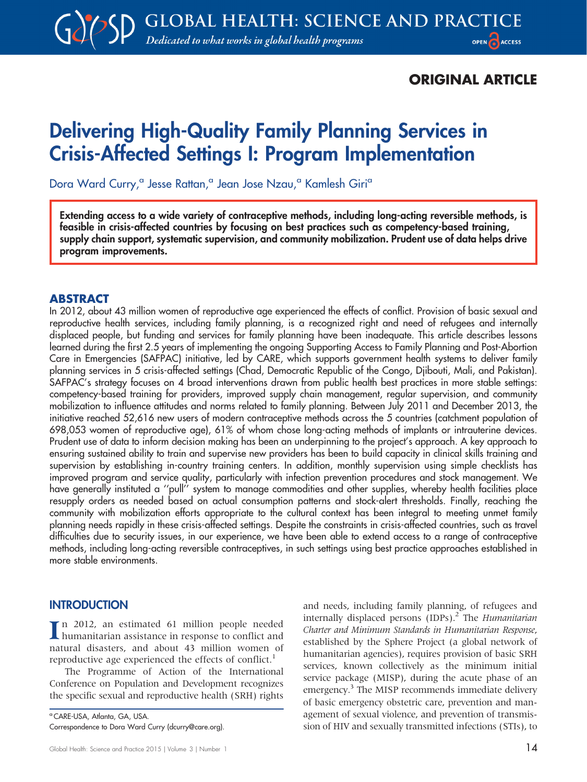# ORIGINAL ARTICLE

# Delivering High-Quality Family Planning Services in Crisis-Affected Settings I: Program Implementation

Dora Ward Curry,<sup>a</sup> Jesse Rattan,<sup>a</sup> Jean Jose Nzau,<sup>a</sup> Kamlesh Giri<sup>a</sup>

Extending access to a wide variety of contraceptive methods, including long-acting reversible methods, is feasible in crisis-affected countries by focusing on best practices such as competency-based training, supply chain support, systematic supervision, and community mobilization. Prudent use of data helps drive program improvements.

#### ABSTRACT

In 2012, about 43 million women of reproductive age experienced the effects of conflict. Provision of basic sexual and reproductive health services, including family planning, is a recognized right and need of refugees and internally displaced people, but funding and services for family planning have been inadequate. This article describes lessons learned during the first 2.5 years of implementing the ongoing Supporting Access to Family Planning and Post-Abortion Care in Emergencies (SAFPAC) initiative, led by CARE, which supports government health systems to deliver family planning services in 5 crisis-affected settings (Chad, Democratic Republic of the Congo, Djibouti, Mali, and Pakistan). SAFPAC's strategy focuses on 4 broad interventions drawn from public health best practices in more stable settings: competency-based training for providers, improved supply chain management, regular supervision, and community mobilization to influence attitudes and norms related to family planning. Between July 2011 and December 2013, the initiative reached 52,616 new users of modern contraceptive methods across the 5 countries (catchment population of 698,053 women of reproductive age), 61% of whom chose long-acting methods of implants or intrauterine devices. Prudent use of data to inform decision making has been an underpinning to the project's approach. A key approach to ensuring sustained ability to train and supervise new providers has been to build capacity in clinical skills training and supervision by establishing in-country training centers. In addition, monthly supervision using simple checklists has improved program and service quality, particularly with infection prevention procedures and stock management. We have generally instituted a ''pull'' system to manage commodities and other supplies, whereby health facilities place resupply orders as needed based on actual consumption patterns and stock-alert thresholds. Finally, reaching the community with mobilization efforts appropriate to the cultural context has been integral to meeting unmet family planning needs rapidly in these crisis-affected settings. Despite the constraints in crisis-affected countries, such as travel difficulties due to security issues, in our experience, we have been able to extend access to a range of contraceptive methods, including long-acting reversible contraceptives, in such settings using best practice approaches established in more stable environments.

#### **INTRODUCTION**

In 2012, an estimated 61 million people needed humanitarian assistance in response to conflict and natural disasters, and about 43 million women of reproductive age experienced the effects of conflict.<sup>1</sup>

The Programme of Action of the International Conference on Population and Development recognizes the specific sexual and reproductive health (SRH) rights

<sup>a</sup> CARE-USA, Atlanta, GA, USA. Correspondence to Dora Ward Curry (dcurry@care.org). and needs, including family planning, of refugees and internally displaced persons (IDPs).<sup>2</sup> The *Humanitarian* Charter and Minimum Standards in Humanitarian Response, established by the Sphere Project (a global network of humanitarian agencies), requires provision of basic SRH services, known collectively as the minimum initial service package (MISP), during the acute phase of an emergency.<sup>3</sup> The MISP recommends immediate delivery of basic emergency obstetric care, prevention and management of sexual violence, and prevention of transmission of HIV and sexually transmitted infections (STIs), to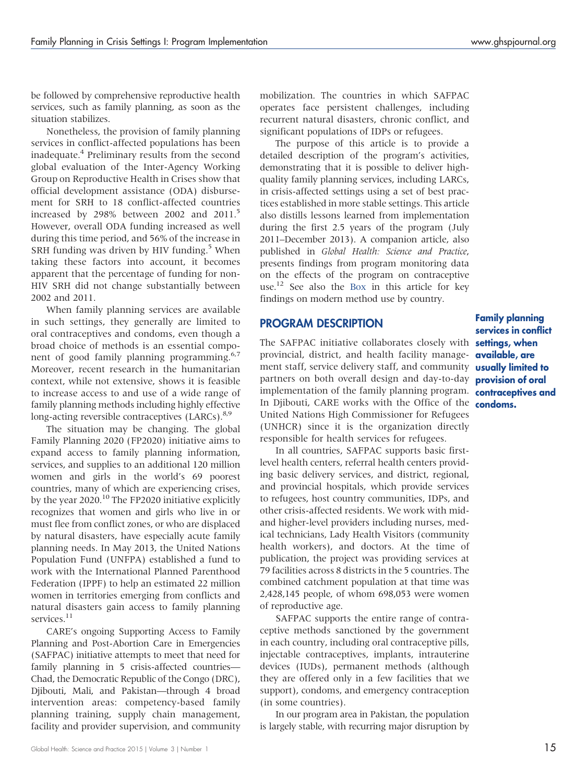be followed by comprehensive reproductive health services, such as family planning, as soon as the situation stabilizes.

Nonetheless, the provision of family planning services in conflict-affected populations has been inadequate.4 Preliminary results from the second global evaluation of the Inter-Agency Working Group on Reproductive Health in Crises show that official development assistance (ODA) disbursement for SRH to 18 conflict-affected countries increased by 298% between 2002 and  $2011$ .<sup>5</sup> However, overall ODA funding increased as well during this time period, and 56% of the increase in SRH funding was driven by HIV funding.<sup>5</sup> When taking these factors into account, it becomes apparent that the percentage of funding for non-HIV SRH did not change substantially between 2002 and 2011.

When family planning services are available in such settings, they generally are limited to oral contraceptives and condoms, even though a broad choice of methods is an essential component of good family planning programming.<sup>6,7</sup> Moreover, recent research in the humanitarian context, while not extensive, shows it is feasible to increase access to and use of a wide range of family planning methods including highly effective long-acting reversible contraceptives (LARCs).<sup>8,9</sup>

The situation may be changing. The global Family Planning 2020 (FP2020) initiative aims to expand access to family planning information, services, and supplies to an additional 120 million women and girls in the world's 69 poorest countries, many of which are experiencing crises, by the year  $2020$ .<sup>10</sup> The FP2020 initiative explicitly recognizes that women and girls who live in or must flee from conflict zones, or who are displaced by natural disasters, have especially acute family planning needs. In May 2013, the United Nations Population Fund (UNFPA) established a fund to work with the International Planned Parenthood Federation (IPPF) to help an estimated 22 million women in territories emerging from conflicts and natural disasters gain access to family planning services.<sup>11</sup>

CARE's ongoing Supporting Access to Family Planning and Post-Abortion Care in Emergencies (SAFPAC) initiative attempts to meet that need for family planning in 5 crisis-affected countries-Chad, the Democratic Republic of the Congo (DRC), Djibouti, Mali, and Pakistan—through 4 broad intervention areas: competency-based family planning training, supply chain management, facility and provider supervision, and community mobilization. The countries in which SAFPAC operates face persistent challenges, including recurrent natural disasters, chronic conflict, and significant populations of IDPs or refugees.

The purpose of this article is to provide a detailed description of the program's activities, demonstrating that it is possible to deliver highquality family planning services, including LARCs, in crisis-affected settings using a set of best practices established in more stable settings. This article also distills lessons learned from implementation during the first 2.5 years of the program (July 2011–December 2013). A companion article, also published in Global Health: Science and Practice, presents findings from program monitoring data on the effects of the program on contraceptive use.<sup>12</sup> See also the [Box](#page-2-0) in this article for key findings on modern method use by country.

# PROGRAM DESCRIPTION

The SAFPAC initiative collaborates closely with **settings, when** provincial, district, and health facility management staff, service delivery staff, and community **usually limited to** partners on both overall design and day-to-day implementation of the family planning program. contraceptives and In Djibouti, CARE works with the Office of the condoms. United Nations High Commissioner for Refugees (UNHCR) since it is the organization directly responsible for health services for refugees.

In all countries, SAFPAC supports basic firstlevel health centers, referral health centers providing basic delivery services, and district, regional, and provincial hospitals, which provide services to refugees, host country communities, IDPs, and other crisis-affected residents. We work with midand higher-level providers including nurses, medical technicians, Lady Health Visitors (community health workers), and doctors. At the time of publication, the project was providing services at 79 facilities across 8 districts in the 5 countries. The combined catchment population at that time was 2,428,145 people, of whom 698,053 were women of reproductive age.

SAFPAC supports the entire range of contraceptive methods sanctioned by the government in each country, including oral contraceptive pills, injectable contraceptives, implants, intrauterine devices (IUDs), permanent methods (although they are offered only in a few facilities that we support), condoms, and emergency contraception (in some countries).

In our program area in Pakistan, the population is largely stable, with recurring major disruption by

Family planning services in conflict available, are provision of oral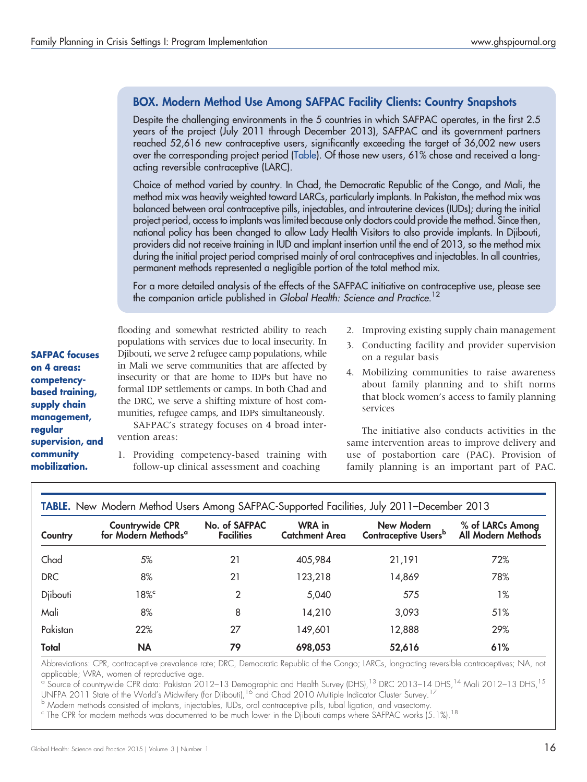#### <span id="page-2-0"></span>BOX. Modern Method Use Among SAFPAC Facility Clients: Country Snapshots

Despite the challenging environments in the 5 countries in which SAFPAC operates, in the first 2.5 years of the project (July 2011 through December 2013), SAFPAC and its government partners reached 52,616 new contraceptive users, significantly exceeding the target of 36,002 new users over the corresponding project period (Table). Of those new users, 61% chose and received a longacting reversible contraceptive (LARC).

Choice of method varied by country. In Chad, the Democratic Republic of the Congo, and Mali, the method mix was heavily weighted toward LARCs, particularly implants. In Pakistan, the method mix was balanced between oral contraceptive pills, injectables, and intrauterine devices (IUDs); during the initial project period, access to implants was limited because only doctors could provide the method. Since then, national policy has been changed to allow Lady Health Visitors to also provide implants. In Djibouti, providers did not receive training in IUD and implant insertion until the end of 2013, so the method mix during the initial project period comprised mainly of oral contraceptives and injectables. In all countries, permanent methods represented a negligible portion of the total method mix.

For a more detailed analysis of the effects of the SAFPAC initiative on contraceptive use, please see the companion article published in *Global Health: Science and Practice*.<sup>12</sup>

SAFPAC focuses on 4 areas: competencybased training, supply chain management, regular supervision, and community mobilization.

flooding and somewhat restricted ability to reach populations with services due to local insecurity. In Djibouti, we serve 2 refugee camp populations, while in Mali we serve communities that are affected by insecurity or that are home to IDPs but have no formal IDP settlements or camps. In both Chad and the DRC, we serve a shifting mixture of host communities, refugee camps, and IDPs simultaneously. SAFPAC's strategy focuses on 4 broad inter-

vention areas:

1. Providing competency-based training with follow-up clinical assessment and coaching

- 2. Improving existing supply chain management
- 3. Conducting facility and provider supervision on a regular basis
- 4. Mobilizing communities to raise awareness about family planning and to shift norms that block women's access to family planning services

The initiative also conducts activities in the same intervention areas to improve delivery and use of postabortion care (PAC). Provision of family planning is an important part of PAC.

| Country    | <b>Countrywide CPR</b><br>for Modern Methods <sup>a</sup> | No. of SAFPAC<br><b>Facilities</b> | WRA in<br><b>Catchment Area</b> | New Modern<br><b>Contraceptive Users</b> <sup>b</sup> | % of LARCs Among<br><b>All Modern Methods</b> |
|------------|-----------------------------------------------------------|------------------------------------|---------------------------------|-------------------------------------------------------|-----------------------------------------------|
| Chad       | 5%                                                        | 21                                 | 405,984                         | 21,191                                                | 72%                                           |
| <b>DRC</b> | 8%                                                        | 21                                 | 123,218                         | 14,869                                                | 78%                                           |
| Djibouti   | $18\%$ °                                                  | 2                                  | 5,040                           | 575                                                   | 1%                                            |
| Mali       | 8%                                                        | 8                                  | 14,210                          | 3,093                                                 | 51%                                           |
| Pakistan   | 22%                                                       | 27                                 | 149,601                         | 12,888                                                | 29%                                           |
| Total      | <b>NA</b>                                                 | 79                                 | 698,053                         | 52,616                                                | 61%                                           |

#### TABLE. New Modern Method Users Among SAFPAC-Supported Facilities, July 2011–December 2013

Abbreviations: CPR, contraceptive prevalence rate; DRC, Democratic Republic of the Congo; LARCs, long-acting reversible contraceptives; NA, not applicable; WRA, women of reproductive age.

<sup>a</sup> Source of countrywide CPR data: Pakistan 2012–13 Demographic and Health Survey (DHS),<sup>13</sup> DRC 2013–14 DHS,<sup>14</sup> Mali 2012–13 DHS,<sup>15</sup> UNFPA 2011 State of the World's Midwifery (for Djibouti), <sup>16</sup> and Chad 2010 Multiple Indicator Cluster Survey.<sup>17</sup>

<sup>b</sup> Modern methods consisted of implants, injectables, IUDs, oral contraceptive pills, tubal ligation, and vasectomy.

 $^c$  The CPR for modern methods was documented to be much lower in the Djibouti camps where SAFPAC works (5.1%).<sup>18</sup>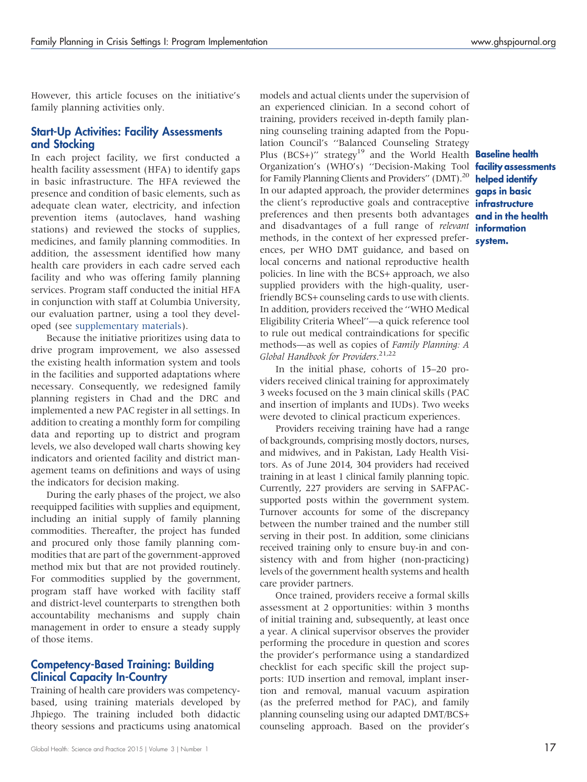However, this article focuses on the initiative's family planning activities only.

#### Start-Up Activities: Facility Assessments and Stocking

In each project facility, we first conducted a health facility assessment (HFA) to identify gaps in basic infrastructure. The HFA reviewed the presence and condition of basic elements, such as adequate clean water, electricity, and infection prevention items (autoclaves, hand washing stations) and reviewed the stocks of supplies, medicines, and family planning commodities. In addition, the assessment identified how many health care providers in each cadre served each facility and who was offering family planning services. Program staff conducted the initial HFA in conjunction with staff at Columbia University, our evaluation partner, using a tool they developed (see [supplementary materials](http://ghspjournal.org/lookup/suppl/doi:10.9745/GHSP-D-14-00164/-/DCSupplemental)).

Because the initiative prioritizes using data to drive program improvement, we also assessed the existing health information system and tools in the facilities and supported adaptations where necessary. Consequently, we redesigned family planning registers in Chad and the DRC and implemented a new PAC register in all settings. In addition to creating a monthly form for compiling data and reporting up to district and program levels, we also developed wall charts showing key indicators and oriented facility and district management teams on definitions and ways of using the indicators for decision making.

During the early phases of the project, we also reequipped facilities with supplies and equipment, including an initial supply of family planning commodities. Thereafter, the project has funded and procured only those family planning commodities that are part of the government-approved method mix but that are not provided routinely. For commodities supplied by the government, program staff have worked with facility staff and district-level counterparts to strengthen both accountability mechanisms and supply chain management in order to ensure a steady supply of those items.

### Competency-Based Training: Building Clinical Capacity In-Country

Training of health care providers was competencybased, using training materials developed by Jhpiego. The training included both didactic theory sessions and practicums using anatomical

models and actual clients under the supervision of an experienced clinician. In a second cohort of training, providers received in-depth family planning counseling training adapted from the Population Council's ''Balanced Counseling Strategy Plus (BCS+)" strategy<sup>19</sup> and the World Health Organization's (WHO's) ''Decision-Making Tool for Family Planning Clients and Providers" (DMT).<sup>20</sup> In our adapted approach, the provider determines **gaps in basic** the client's reproductive goals and contraceptive **infrastructure** preferences and then presents both advantages and in the health and disadvantages of a full range of *relevant* information methods, in the context of her expressed preferences, per WHO DMT guidance, and based on local concerns and national reproductive health policies. In line with the BCS+ approach, we also supplied providers with the high-quality, userfriendly BCS+ counseling cards to use with clients. In addition, providers received the ''WHO Medical Eligibility Criteria Wheel''—a quick reference tool to rule out medical contraindications for specific methods—as well as copies of Family Planning: A Global Handbook for Providers.<sup>21,22</sup>

In the initial phase, cohorts of 15–20 providers received clinical training for approximately 3 weeks focused on the 3 main clinical skills (PAC and insertion of implants and IUDs). Two weeks were devoted to clinical practicum experiences.

Providers receiving training have had a range of backgrounds, comprising mostly doctors, nurses, and midwives, and in Pakistan, Lady Health Visitors. As of June 2014, 304 providers had received training in at least 1 clinical family planning topic. Currently, 227 providers are serving in SAFPACsupported posts within the government system. Turnover accounts for some of the discrepancy between the number trained and the number still serving in their post. In addition, some clinicians received training only to ensure buy-in and consistency with and from higher (non-practicing) levels of the government health systems and health care provider partners.

Once trained, providers receive a formal skills assessment at 2 opportunities: within 3 months of initial training and, subsequently, at least once a year. A clinical supervisor observes the provider performing the procedure in question and scores the provider's performance using a standardized checklist for each specific skill the project supports: IUD insertion and removal, implant insertion and removal, manual vacuum aspiration (as the preferred method for PAC), and family planning counseling using our adapted DMT/BCS+ counseling approach. Based on the provider's

Baseline health facility assessments helped identify system.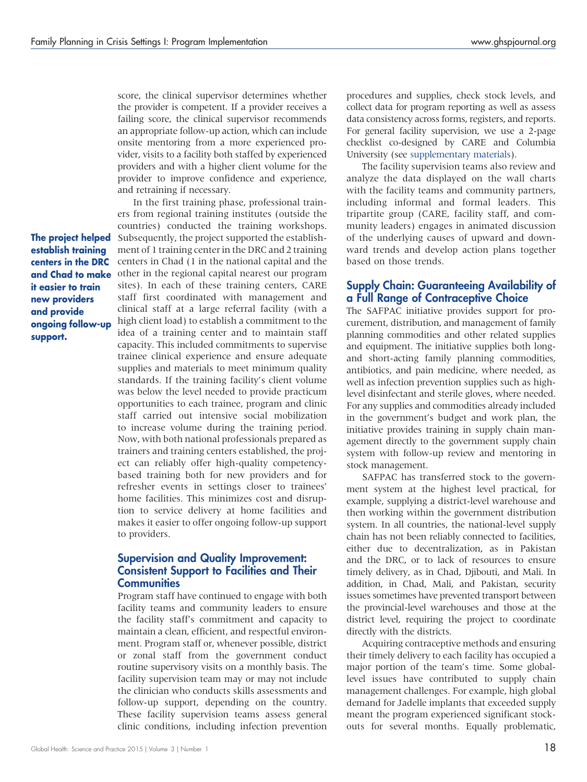score, the clinical supervisor determines whether the provider is competent. If a provider receives a failing score, the clinical supervisor recommends an appropriate follow-up action, which can include onsite mentoring from a more experienced provider, visits to a facility both staffed by experienced providers and with a higher client volume for the provider to improve confidence and experience, and retraining if necessary.

In the first training phase, professional trainers from regional training institutes (outside the countries) conducted the training workshops. Subsequently, the project supported the establishment of 1 training center in the DRC and 2 training centers in Chad (1 in the national capital and the other in the regional capital nearest our program sites). In each of these training centers, CARE staff first coordinated with management and clinical staff at a large referral facility (with a high client load) to establish a commitment to the idea of a training center and to maintain staff capacity. This included commitments to supervise trainee clinical experience and ensure adequate supplies and materials to meet minimum quality standards. If the training facility's client volume was below the level needed to provide practicum opportunities to each trainee, program and clinic staff carried out intensive social mobilization to increase volume during the training period. Now, with both national professionals prepared as trainers and training centers established, the project can reliably offer high-quality competencybased training both for new providers and for refresher events in settings closer to trainees' home facilities. This minimizes cost and disruption to service delivery at home facilities and makes it easier to offer ongoing follow-up support to providers.

#### Supervision and Quality Improvement: Consistent Support to Facilities and Their **Communities**

Program staff have continued to engage with both facility teams and community leaders to ensure the facility staff's commitment and capacity to maintain a clean, efficient, and respectful environment. Program staff or, whenever possible, district or zonal staff from the government conduct routine supervisory visits on a monthly basis. The facility supervision team may or may not include the clinician who conducts skills assessments and follow-up support, depending on the country. These facility supervision teams assess general clinic conditions, including infection prevention procedures and supplies, check stock levels, and collect data for program reporting as well as assess data consistency across forms, registers, and reports. For general facility supervision, we use a 2-page checklist co-designed by CARE and Columbia University (see [supplementary materials](http://ghspjournal.org/lookup/suppl/doi:10.9745/GHSP-D-14-00164/-/DCSupplemental)).

The facility supervision teams also review and analyze the data displayed on the wall charts with the facility teams and community partners, including informal and formal leaders. This tripartite group (CARE, facility staff, and community leaders) engages in animated discussion of the underlying causes of upward and downward trends and develop action plans together based on those trends.

#### Supply Chain: Guaranteeing Availability of a Full Range of Contraceptive Choice

The SAFPAC initiative provides support for procurement, distribution, and management of family planning commodities and other related supplies and equipment. The initiative supplies both longand short-acting family planning commodities, antibiotics, and pain medicine, where needed, as well as infection prevention supplies such as highlevel disinfectant and sterile gloves, where needed. For any supplies and commodities already included in the government's budget and work plan, the initiative provides training in supply chain management directly to the government supply chain system with follow-up review and mentoring in stock management.

SAFPAC has transferred stock to the government system at the highest level practical, for example, supplying a district-level warehouse and then working within the government distribution system. In all countries, the national-level supply chain has not been reliably connected to facilities, either due to decentralization, as in Pakistan and the DRC, or to lack of resources to ensure timely delivery, as in Chad, Djibouti, and Mali. In addition, in Chad, Mali, and Pakistan, security issues sometimes have prevented transport between the provincial-level warehouses and those at the district level, requiring the project to coordinate directly with the districts.

Acquiring contraceptive methods and ensuring their timely delivery to each facility has occupied a major portion of the team's time. Some globallevel issues have contributed to supply chain management challenges. For example, high global demand for Jadelle implants that exceeded supply meant the program experienced significant stockouts for several months. Equally problematic,

The project helped establish training centers in the DRC and Chad to make it easier to train new providers and provide ongoing follow-up support.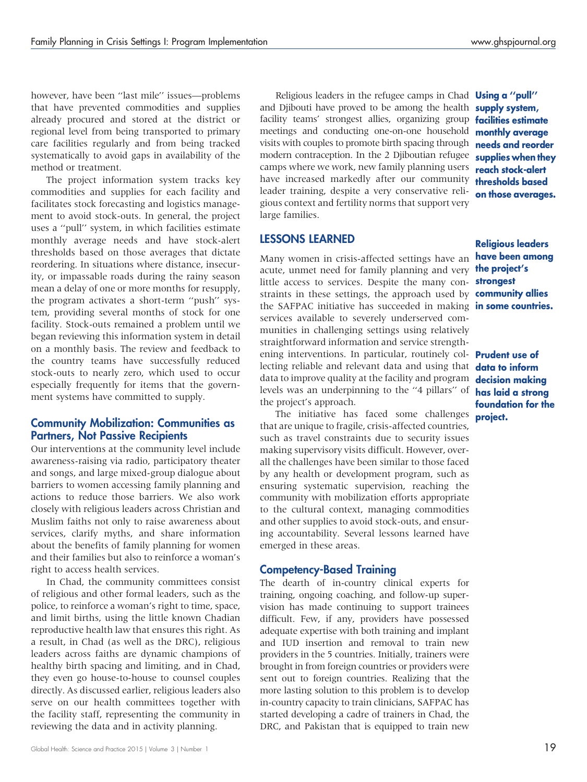however, have been ''last mile'' issues—problems that have prevented commodities and supplies already procured and stored at the district or regional level from being transported to primary care facilities regularly and from being tracked systematically to avoid gaps in availability of the method or treatment.

The project information system tracks key commodities and supplies for each facility and facilitates stock forecasting and logistics management to avoid stock-outs. In general, the project uses a ''pull'' system, in which facilities estimate monthly average needs and have stock-alert thresholds based on those averages that dictate reordering. In situations where distance, insecurity, or impassable roads during the rainy season mean a delay of one or more months for resupply, the program activates a short-term ''push'' system, providing several months of stock for one facility. Stock-outs remained a problem until we began reviewing this information system in detail on a monthly basis. The review and feedback to the country teams have successfully reduced stock-outs to nearly zero, which used to occur especially frequently for items that the government systems have committed to supply.

## Community Mobilization: Communities as Partners, Not Passive Recipients

Our interventions at the community level include awareness-raising via radio, participatory theater and songs, and large mixed-group dialogue about barriers to women accessing family planning and actions to reduce those barriers. We also work closely with religious leaders across Christian and Muslim faiths not only to raise awareness about services, clarify myths, and share information about the benefits of family planning for women and their families but also to reinforce a woman's right to access health services.

In Chad, the community committees consist of religious and other formal leaders, such as the police, to reinforce a woman's right to time, space, and limit births, using the little known Chadian reproductive health law that ensures this right. As a result, in Chad (as well as the DRC), religious leaders across faiths are dynamic champions of healthy birth spacing and limiting, and in Chad, they even go house-to-house to counsel couples directly. As discussed earlier, religious leaders also serve on our health committees together with the facility staff, representing the community in reviewing the data and in activity planning.

Religious leaders in the refugee camps in Chad Using a "pull" and Djibouti have proved to be among the health supply system, facility teams' strongest allies, organizing group facilities estimate meetings and conducting one-on-one household **monthly average** visits with couples to promote birth spacing through needs and reorder modern contraception. In the 2 Djiboutian refugee camps where we work, new family planning users have increased markedly after our community **thresholds based** leader training, despite a very conservative religious context and fertility norms that support very large families.

#### LESSONS LEARNED

Many women in crisis-affected settings have an **have been among** acute, unmet need for family planning and very **the project's** little access to services. Despite the many con- **strongest** straints in these settings, the approach used by **community allies** the SAFPAC initiative has succeeded in making **in some countries.** services available to severely underserved communities in challenging settings using relatively straightforward information and service strengthening interventions. In particular, routinely col- **Prudent use of** lecting reliable and relevant data and using that data to inform data to improve quality at the facility and program levels was an underpinning to the "4 pillars" of has laid a strong the project's approach.

The initiative has faced some challenges that are unique to fragile, crisis-affected countries, such as travel constraints due to security issues making supervisory visits difficult. However, overall the challenges have been similar to those faced by any health or development program, such as ensuring systematic supervision, reaching the community with mobilization efforts appropriate to the cultural context, managing commodities and other supplies to avoid stock-outs, and ensuring accountability. Several lessons learned have emerged in these areas.

#### Competency-Based Training

The dearth of in-country clinical experts for training, ongoing coaching, and follow-up supervision has made continuing to support trainees difficult. Few, if any, providers have possessed adequate expertise with both training and implant and IUD insertion and removal to train new providers in the 5 countries. Initially, trainers were brought in from foreign countries or providers were sent out to foreign countries. Realizing that the more lasting solution to this problem is to develop in-country capacity to train clinicians, SAFPAC has started developing a cadre of trainers in Chad, the DRC, and Pakistan that is equipped to train new

supplies when they reach stock-alert on those averages.

Religious leaders

decision making foundation for the project.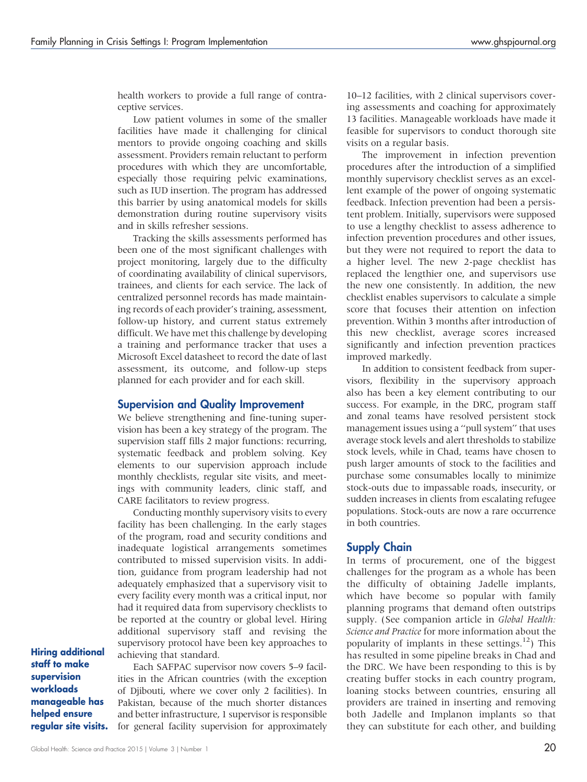health workers to provide a full range of contraceptive services.

Low patient volumes in some of the smaller facilities have made it challenging for clinical mentors to provide ongoing coaching and skills assessment. Providers remain reluctant to perform procedures with which they are uncomfortable, especially those requiring pelvic examinations, such as IUD insertion. The program has addressed this barrier by using anatomical models for skills demonstration during routine supervisory visits and in skills refresher sessions.

Tracking the skills assessments performed has been one of the most significant challenges with project monitoring, largely due to the difficulty of coordinating availability of clinical supervisors, trainees, and clients for each service. The lack of centralized personnel records has made maintaining records of each provider's training, assessment, follow-up history, and current status extremely difficult. We have met this challenge by developing a training and performance tracker that uses a Microsoft Excel datasheet to record the date of last assessment, its outcome, and follow-up steps planned for each provider and for each skill.

#### Supervision and Quality Improvement

We believe strengthening and fine-tuning supervision has been a key strategy of the program. The supervision staff fills 2 major functions: recurring, systematic feedback and problem solving. Key elements to our supervision approach include monthly checklists, regular site visits, and meetings with community leaders, clinic staff, and CARE facilitators to review progress.

Conducting monthly supervisory visits to every facility has been challenging. In the early stages of the program, road and security conditions and inadequate logistical arrangements sometimes contributed to missed supervision visits. In addition, guidance from program leadership had not adequately emphasized that a supervisory visit to every facility every month was a critical input, nor had it required data from supervisory checklists to be reported at the country or global level. Hiring additional supervisory staff and revising the supervisory protocol have been key approaches to achieving that standard.

Hiring additional staff to make supervision workloads manageable has helped ensure regular site visits.

Each SAFPAC supervisor now covers 5–9 facilities in the African countries (with the exception of Djibouti, where we cover only 2 facilities). In Pakistan, because of the much shorter distances and better infrastructure, 1 supervisor is responsible for general facility supervision for approximately

Global Health: Science and Practice 2015 | Volume 3 | Number 1 20

10–12 facilities, with 2 clinical supervisors covering assessments and coaching for approximately 13 facilities. Manageable workloads have made it feasible for supervisors to conduct thorough site visits on a regular basis.

The improvement in infection prevention procedures after the introduction of a simplified monthly supervisory checklist serves as an excellent example of the power of ongoing systematic feedback. Infection prevention had been a persistent problem. Initially, supervisors were supposed to use a lengthy checklist to assess adherence to infection prevention procedures and other issues, but they were not required to report the data to a higher level. The new 2-page checklist has replaced the lengthier one, and supervisors use the new one consistently. In addition, the new checklist enables supervisors to calculate a simple score that focuses their attention on infection prevention. Within 3 months after introduction of this new checklist, average scores increased significantly and infection prevention practices improved markedly.

In addition to consistent feedback from supervisors, flexibility in the supervisory approach also has been a key element contributing to our success. For example, in the DRC, program staff and zonal teams have resolved persistent stock management issues using a ''pull system'' that uses average stock levels and alert thresholds to stabilize stock levels, while in Chad, teams have chosen to push larger amounts of stock to the facilities and purchase some consumables locally to minimize stock-outs due to impassable roads, insecurity, or sudden increases in clients from escalating refugee populations. Stock-outs are now a rare occurrence in both countries.

#### Supply Chain

In terms of procurement, one of the biggest challenges for the program as a whole has been the difficulty of obtaining Jadelle implants, which have become so popular with family planning programs that demand often outstrips supply. (See companion article in Global Health: Science and Practice for more information about the popularity of implants in these settings.<sup>12</sup>) This has resulted in some pipeline breaks in Chad and the DRC. We have been responding to this is by creating buffer stocks in each country program, loaning stocks between countries, ensuring all providers are trained in inserting and removing both Jadelle and Implanon implants so that they can substitute for each other, and building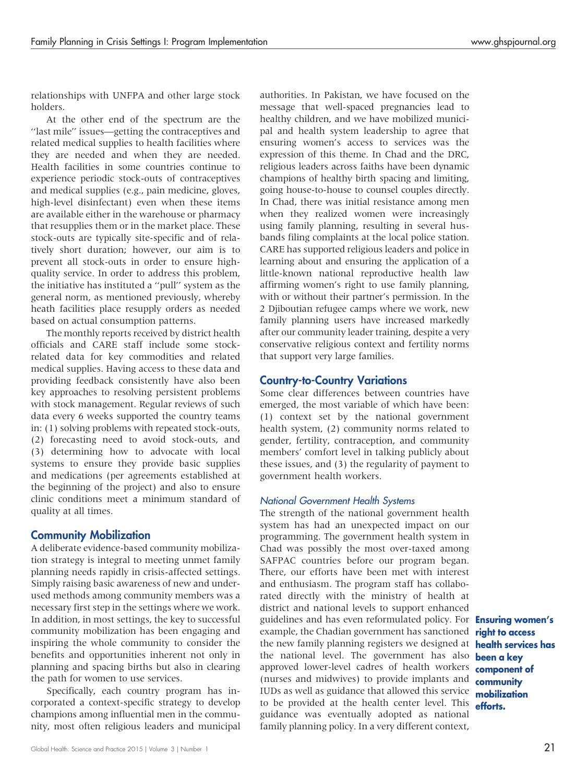relationships with UNFPA and other large stock holders.

At the other end of the spectrum are the "last mile" issues—getting the contraceptives and related medical supplies to health facilities where they are needed and when they are needed. Health facilities in some countries continue to experience periodic stock-outs of contraceptives and medical supplies (e.g., pain medicine, gloves, high-level disinfectant) even when these items are available either in the warehouse or pharmacy that resupplies them or in the market place. These stock-outs are typically site-specific and of relatively short duration; however, our aim is to prevent all stock-outs in order to ensure highquality service. In order to address this problem, the initiative has instituted a ''pull'' system as the general norm, as mentioned previously, whereby heath facilities place resupply orders as needed based on actual consumption patterns.

The monthly reports received by district health officials and CARE staff include some stockrelated data for key commodities and related medical supplies. Having access to these data and providing feedback consistently have also been key approaches to resolving persistent problems with stock management. Regular reviews of such data every 6 weeks supported the country teams in: (1) solving problems with repeated stock-outs, (2) forecasting need to avoid stock-outs, and (3) determining how to advocate with local systems to ensure they provide basic supplies and medications (per agreements established at the beginning of the project) and also to ensure clinic conditions meet a minimum standard of quality at all times.

### Community Mobilization

A deliberate evidence-based community mobilization strategy is integral to meeting unmet family planning needs rapidly in crisis-affected settings. Simply raising basic awareness of new and underused methods among community members was a necessary first step in the settings where we work. In addition, in most settings, the key to successful community mobilization has been engaging and inspiring the whole community to consider the benefits and opportunities inherent not only in planning and spacing births but also in clearing the path for women to use services.

Specifically, each country program has incorporated a context-specific strategy to develop champions among influential men in the community, most often religious leaders and municipal

authorities. In Pakistan, we have focused on the message that well-spaced pregnancies lead to healthy children, and we have mobilized municipal and health system leadership to agree that ensuring women's access to services was the expression of this theme. In Chad and the DRC, religious leaders across faiths have been dynamic champions of healthy birth spacing and limiting, going house-to-house to counsel couples directly. In Chad, there was initial resistance among men when they realized women were increasingly using family planning, resulting in several husbands filing complaints at the local police station. CARE has supported religious leaders and police in learning about and ensuring the application of a little-known national reproductive health law affirming women's right to use family planning, with or without their partner's permission. In the 2 Djiboutian refugee camps where we work, new family planning users have increased markedly after our community leader training, despite a very conservative religious context and fertility norms that support very large families.

#### Country-to-Country Variations

Some clear differences between countries have emerged, the most variable of which have been: (1) context set by the national government health system, (2) community norms related to gender, fertility, contraception, and community members' comfort level in talking publicly about these issues, and (3) the regularity of payment to government health workers.

#### National Government Health Systems

The strength of the national government health system has had an unexpected impact on our programming. The government health system in Chad was possibly the most over-taxed among SAFPAC countries before our program began. There, our efforts have been met with interest and enthusiasm. The program staff has collaborated directly with the ministry of health at district and national levels to support enhanced guidelines and has even reformulated policy. For **Ensuring women's** example, the Chadian government has sanctioned the new family planning registers we designed at **health services has** the national level. The government has also approved lower-level cadres of health workers (nurses and midwives) to provide implants and IUDs as well as guidance that allowed this service **mobilization** to be provided at the health center level. This guidance was eventually adopted as national family planning policy. In a very different context,

right to access been a key component of community efforts.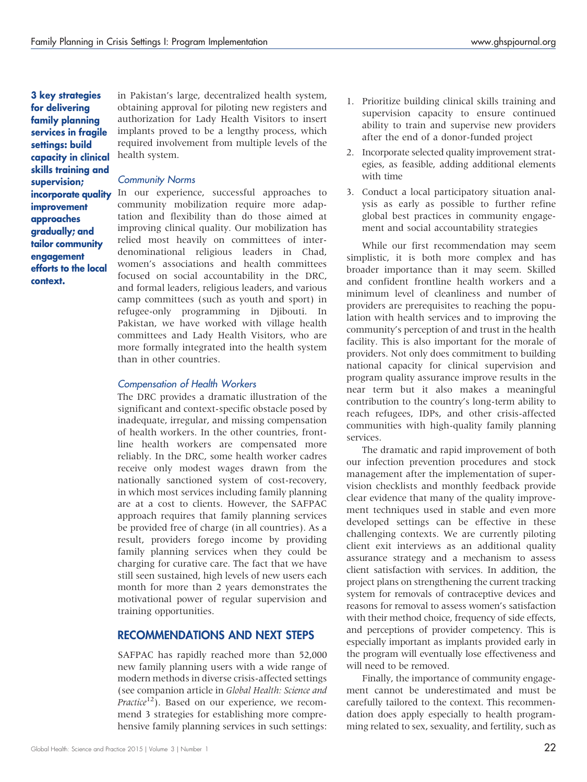3 key strategies for delivering family planning services in fragile settings: build capacity in clinical skills training and supervision; incorporate quality improvement approaches gradually; and tailor community engagement efforts to the local context.

in Pakistan's large, decentralized health system, obtaining approval for piloting new registers and authorization for Lady Health Visitors to insert implants proved to be a lengthy process, which required involvement from multiple levels of the health system.

#### Community Norms

In our experience, successful approaches to community mobilization require more adaptation and flexibility than do those aimed at improving clinical quality. Our mobilization has relied most heavily on committees of interdenominational religious leaders in Chad, women's associations and health committees focused on social accountability in the DRC, and formal leaders, religious leaders, and various camp committees (such as youth and sport) in refugee-only programming in Djibouti. In Pakistan, we have worked with village health committees and Lady Health Visitors, who are more formally integrated into the health system than in other countries.

#### Compensation of Health Workers

The DRC provides a dramatic illustration of the significant and context-specific obstacle posed by inadequate, irregular, and missing compensation of health workers. In the other countries, frontline health workers are compensated more reliably. In the DRC, some health worker cadres receive only modest wages drawn from the nationally sanctioned system of cost-recovery, in which most services including family planning are at a cost to clients. However, the SAFPAC approach requires that family planning services be provided free of charge (in all countries). As a result, providers forego income by providing family planning services when they could be charging for curative care. The fact that we have still seen sustained, high levels of new users each month for more than 2 years demonstrates the motivational power of regular supervision and training opportunities.

### RECOMMENDATIONS AND NEXT STEPS

SAFPAC has rapidly reached more than 52,000 new family planning users with a wide range of modern methods in diverse crisis-affected settings (see companion article in Global Health: Science and  $Practice<sup>12</sup>$ . Based on our experience, we recommend 3 strategies for establishing more comprehensive family planning services in such settings:

- 2. Incorporate selected quality improvement strategies, as feasible, adding additional elements with time
- 3. Conduct a local participatory situation analysis as early as possible to further refine global best practices in community engagement and social accountability strategies

While our first recommendation may seem simplistic, it is both more complex and has broader importance than it may seem. Skilled and confident frontline health workers and a minimum level of cleanliness and number of providers are prerequisites to reaching the population with health services and to improving the community's perception of and trust in the health facility. This is also important for the morale of providers. Not only does commitment to building national capacity for clinical supervision and program quality assurance improve results in the near term but it also makes a meaningful contribution to the country's long-term ability to reach refugees, IDPs, and other crisis-affected communities with high-quality family planning services.

The dramatic and rapid improvement of both our infection prevention procedures and stock management after the implementation of supervision checklists and monthly feedback provide clear evidence that many of the quality improvement techniques used in stable and even more developed settings can be effective in these challenging contexts. We are currently piloting client exit interviews as an additional quality assurance strategy and a mechanism to assess client satisfaction with services. In addition, the project plans on strengthening the current tracking system for removals of contraceptive devices and reasons for removal to assess women's satisfaction with their method choice, frequency of side effects, and perceptions of provider competency. This is especially important as implants provided early in the program will eventually lose effectiveness and will need to be removed.

Finally, the importance of community engagement cannot be underestimated and must be carefully tailored to the context. This recommendation does apply especially to health programming related to sex, sexuality, and fertility, such as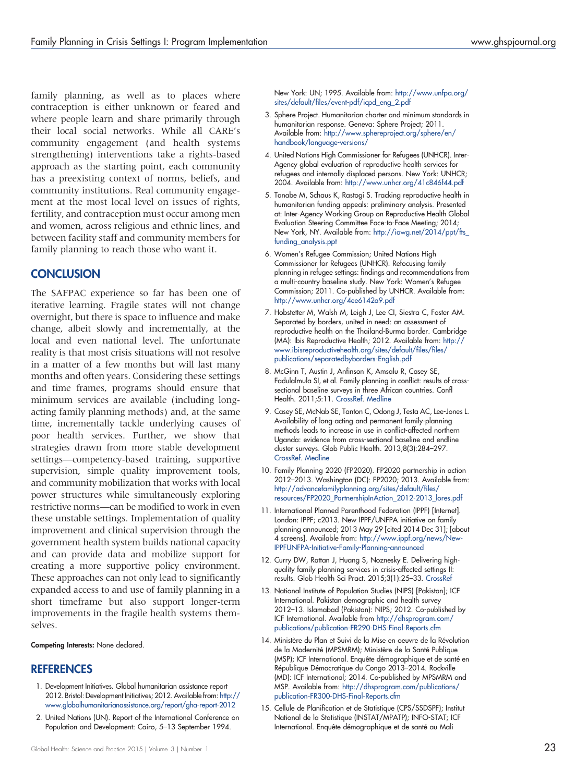family planning, as well as to places where contraception is either unknown or feared and where people learn and share primarily through their local social networks. While all CARE's community engagement (and health systems strengthening) interventions take a rights-based approach as the starting point, each community has a preexisting context of norms, beliefs, and community institutions. Real community engagement at the most local level on issues of rights, fertility, and contraception must occur among men and women, across religious and ethnic lines, and between facility staff and community members for family planning to reach those who want it.

#### **CONCLUSION**

The SAFPAC experience so far has been one of iterative learning. Fragile states will not change overnight, but there is space to influence and make change, albeit slowly and incrementally, at the local and even national level. The unfortunate reality is that most crisis situations will not resolve in a matter of a few months but will last many months and often years. Considering these settings and time frames, programs should ensure that minimum services are available (including longacting family planning methods) and, at the same time, incrementally tackle underlying causes of poor health services. Further, we show that strategies drawn from more stable development settings—competency-based training, supportive supervision, simple quality improvement tools, and community mobilization that works with local power structures while simultaneously exploring restrictive norms—can be modified to work in even these unstable settings. Implementation of quality improvement and clinical supervision through the government health system builds national capacity and can provide data and mobilize support for creating a more supportive policy environment. These approaches can not only lead to significantly expanded access to and use of family planning in a short timeframe but also support longer-term improvements in the fragile health systems themselves.

Competing Interests: None declared.

#### REFERENCES

- 1. Development Initiatives. Global humanitarian assistance report 2012. Bristol: Development Initiatives; 2012. Available from: [http://](http://www.globalhumanitarianassistance.org/report/gha-report-2012) [www.globalhumanitarianassistance.org/report/gha-report-2012](http://www.globalhumanitarianassistance.org/report/gha-report-2012)
- 2. United Nations (UN). Report of the International Conference on Population and Development: Cairo, 5–13 September 1994.

New York: UN; 1995. Available from: [http://www.unfpa.org/](http://www.unfpa.org/sites/default/files/event-pdf/icpd_eng_2.pdf) [sites/default/files/event-pdf/icpd\\_eng\\_2.pdf](http://www.unfpa.org/sites/default/files/event-pdf/icpd_eng_2.pdf)

- 3. Sphere Project. Humanitarian charter and minimum standards in humanitarian response. Geneva: Sphere Project; 2011. Available from: [http://www.sphereproject.org/sphere/en/](http://www.sphereproject.org/sphere/en/handbook/language-versions/) [handbook/language-versions/](http://www.sphereproject.org/sphere/en/handbook/language-versions/)
- 4. United Nations High Commissioner for Refugees (UNHCR). Inter-Agency global evaluation of reproductive health services for refugees and internally displaced persons. New York: UNHCR; 2004. Available from: <http://www.unhcr.org/41c846f44.pdf>
- 5. Tanabe M, Schaus K, Rastogi S. Tracking reproductive health in humanitarian funding appeals: preliminary analysis. Presented at: Inter-Agency Working Group on Reproductive Health Global Evaluation Steering Committee Face-to-Face Meeting; 2014; New York, NY. Available from: [http://iawg.net/2014/ppt/fts\\_](http://iawg.net/2014/ppt/fts_funding_analysis.ppt) [funding\\_analysis.ppt](http://iawg.net/2014/ppt/fts_funding_analysis.ppt)
- 6. Women's Refugee Commission; United Nations High Commissioner for Refugees (UNHCR). Refocusing family planning in refugee settings: findings and recommendations from a multi-country baseline study. New York: Women's Refugee Commission; 2011. Co-published by UNHCR. Available from: <http://www.unhcr.org/4ee6142a9.pdf>
- 7. Hobstetter M, Walsh M, Leigh J, Lee CI, Siestra C, Foster AM. Separated by borders, united in need: an assessment of reproductive health on the Thailand-Burma border. Cambridge (MA): Ibis Reproductive Health; 2012. Available from: [http://](http://www.ibisreproductivehealth.org/sites/default/files/files/publications/separatedbyborders-English.pdf) [www.ibisreproductivehealth.org/sites/default/files/files/](http://www.ibisreproductivehealth.org/sites/default/files/files/publications/separatedbyborders-English.pdf) [publications/separatedbyborders-English.pdf](http://www.ibisreproductivehealth.org/sites/default/files/files/publications/separatedbyborders-English.pdf)
- 8. McGinn T, Austin J, Anfinson K, Amsalu R, Casey SE, Fadulalmula SI, et al. Family planning in conflict: results of crosssectional baseline surveys in three African countries. Confl Health. 2011;5:11. [CrossRef.](http://dx.doi.org/10.1186/1752-1505-5-11) [Medline](http://www.ncbi.nlm.nih.gov/pubmed/21752241)
- 9. Casey SE, McNab SE, Tanton C, Odong J, Testa AC, Lee-Jones L. Availability of long-acting and permanent family-planning methods leads to increase in use in conflict-affected northern Uganda: evidence from cross-sectional baseline and endline cluster surveys. Glob Public Health. 2013;8(3):284–297. [CrossRef](http://dx.doi.org/10.1080/17441692.2012.758302). [Medline](http://www.ncbi.nlm.nih.gov/pubmed/23305269)
- 10. Family Planning 2020 (FP2020). FP2020 partnership in action 2012–2013. Washington (DC): FP2020; 2013. Available from: [http://advancefamilyplanning.org/sites/default/files/](http://advancefamilyplanning.org/sites/default/files/resources/FP2020_PartnershipInAction_2012-2013_lores.pdf) [resources/FP2020\\_PartnershipInAction\\_2012-2013\\_lores.pdf](http://advancefamilyplanning.org/sites/default/files/resources/FP2020_PartnershipInAction_2012-2013_lores.pdf)
- 11. International Planned Parenthood Federation (IPPF) [Internet]. London: IPPF; c2013. New IPPF/UNFPA initiative on family planning announced; 2013 May 29 [cited 2014 Dec 31]; [about 4 screens]. Available from: [http://www.ippf.org/news/New-](http://www.ippf.org/news/New-IPPFUNFPA-Initiative-Family-Planning-announced)[IPPFUNFPA-Initiative-Family-Planning-announced](http://www.ippf.org/news/New-IPPFUNFPA-Initiative-Family-Planning-announced)
- 12. Curry DW, Rattan J, Huang S, Noznesky E. Delivering highquality family planning services in crisis-affected settings II: results. Glob Health Sci Pract. 2015;3(1):25–33. [CrossRef](http://dx.doi.org/10.9745/GHSP-D-1400112)
- 13. National Institute of Population Studies (NIPS) [Pakistan]; ICF International. Pakistan demographic and health survey 2012–13. Islamabad (Pakistan): NIPS; 2012. Co-published by ICF International. Available from [http://dhsprogram.com/](http://dhsprogram.com/publications/publication-FR290-DHS-Final-Reports.cfm) [publications/publication-FR290-DHS-Final-Reports.cfm](http://dhsprogram.com/publications/publication-FR290-DHS-Final-Reports.cfm)
- 14. Ministère du Plan et Suivi de la Mise en oeuvre de la Révolution de la Modernité (MPSMRM); Ministère de la Santé Publique (MSP); ICF International. Enquête démographique et de santé en République Démocratique du Congo 2013-2014. Rockville (MD): ICF International; 2014. Co-published by MPSMRM and MSP. Available from: [http://dhsprogram.com/publications/](http://dhsprogram.com/publications/publication-FR300-DHS-Final-Reports.cfm) [publication-FR300-DHS-Final-Reports.cfm](http://dhsprogram.com/publications/publication-FR300-DHS-Final-Reports.cfm)
- 15. Cellule de Planification et de Statistique (CPS/SSDSPF); Institut National de la Statistique (INSTAT/MPATP); INFO-STAT; ICF International. Enquête démographique et de santé au Mali